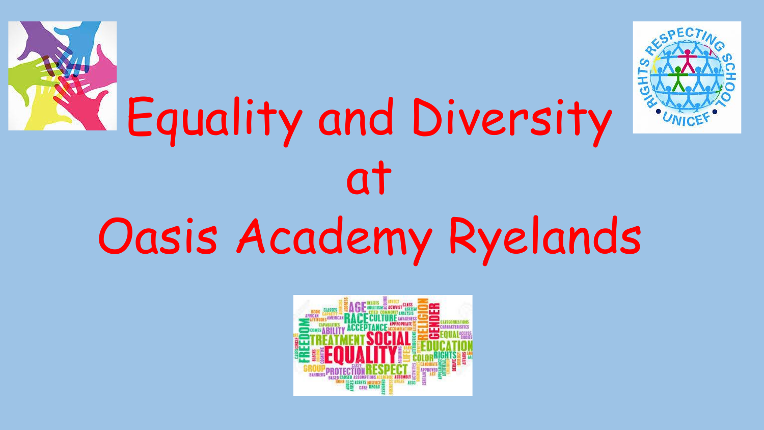

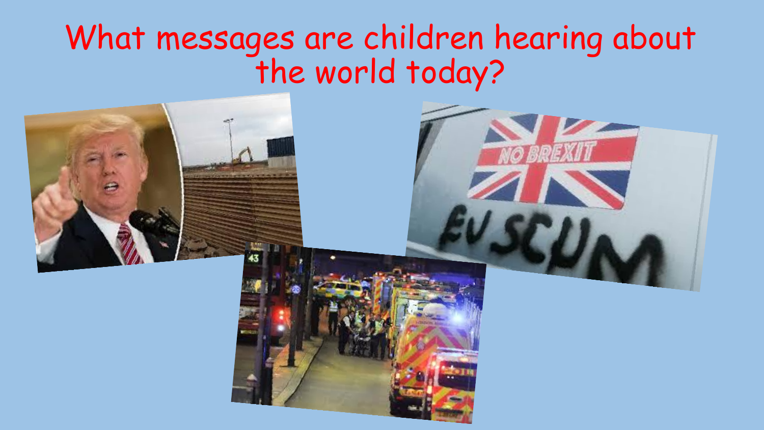### What messages are children hearing about the world today?

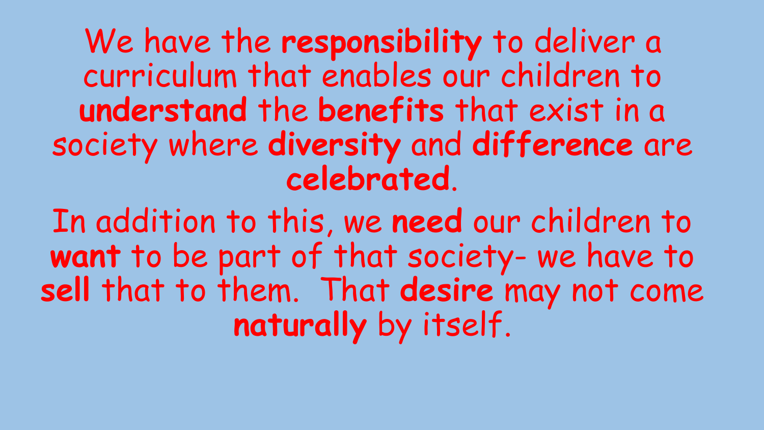We have the **responsibility** to deliver a curriculum that enables our children to **understand** the **benefits** that exist in a society where **diversity** and **difference** are **celebrated**.

In addition to this, we **need** our children to **want** to be part of that society- we have to **sell** that to them. That **desire** may not come **naturally** by itself.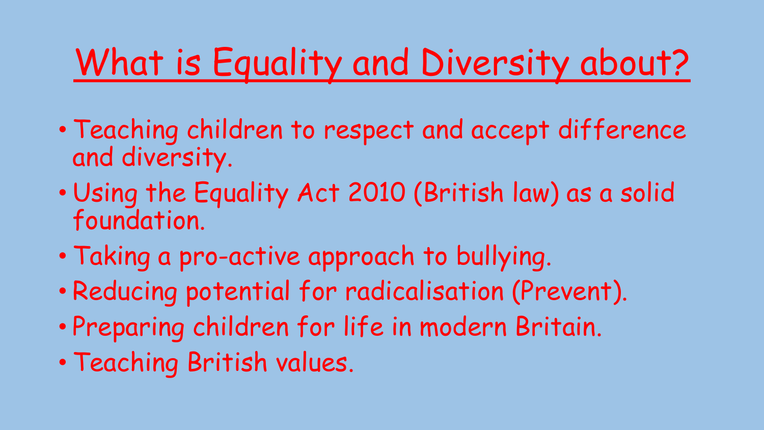# What is Equality and Diversity about?

- Teaching children to respect and accept difference and diversity.
- Using the Equality Act 2010 (British law) as a solid foundation.
- Taking a pro-active approach to bullying.
- Reducing potential for radicalisation (Prevent).
- Preparing children for life in modern Britain.
- Teaching British values.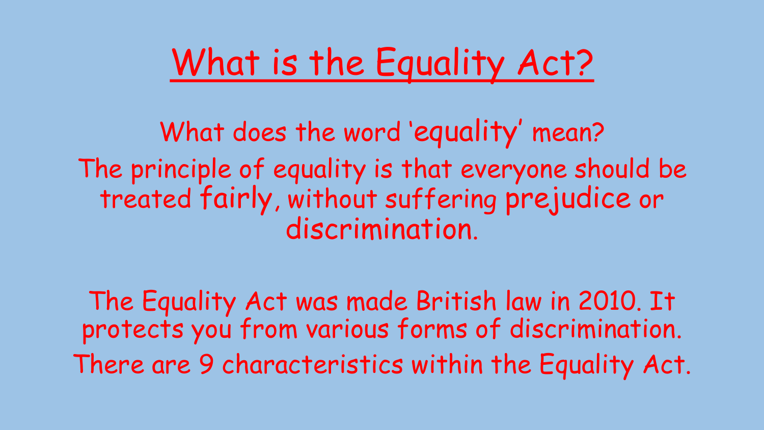# What is the Equality Act?

What does the word 'equality' mean? The principle of equality is that everyone should be treated fairly, without suffering prejudice or discrimination.

The Equality Act was made British law in 2010. It protects you from various forms of discrimination. There are 9 characteristics within the Equality Act.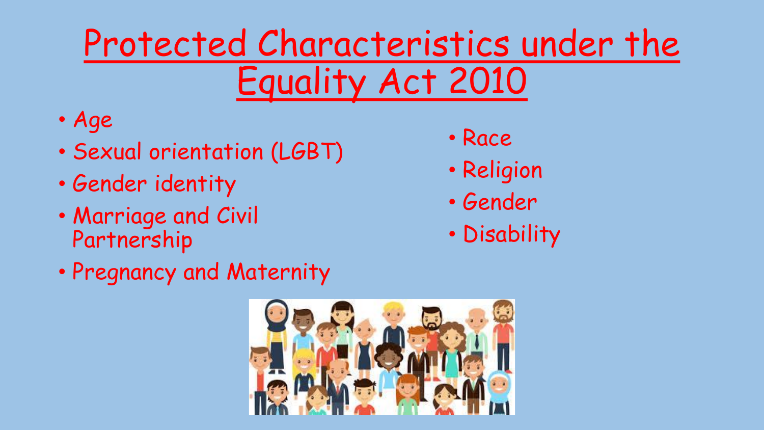## Protected Characteristics under the Equality Act 2010

- Age
- Sexual orientation (LGBT)
- Gender identity
- Marriage and Civil Partnership
- Pregnancy and Maternity
- Race
- Religion
- Gender
- Disability

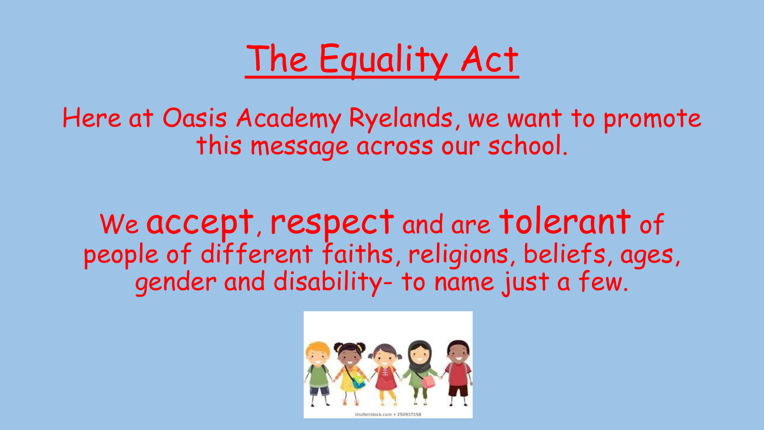

Here at Oasis Academy Ryelands, we want to promote this message across our school.

We accept, respect and are tolerant of people of different faiths, religions, beliefs, ages, gender and disability- to name just a few.

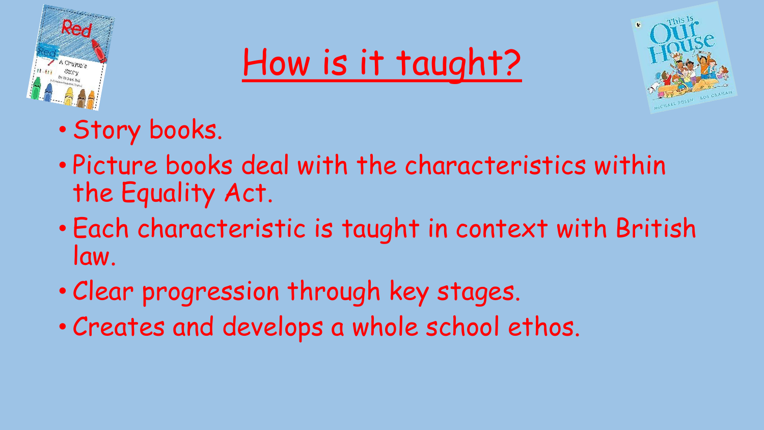





- Story books.
- Picture books deal with the characteristics within the Equality Act.
- Each characteristic is taught in context with British law.
- Clear progression through key stages.
- Creates and develops a whole school ethos.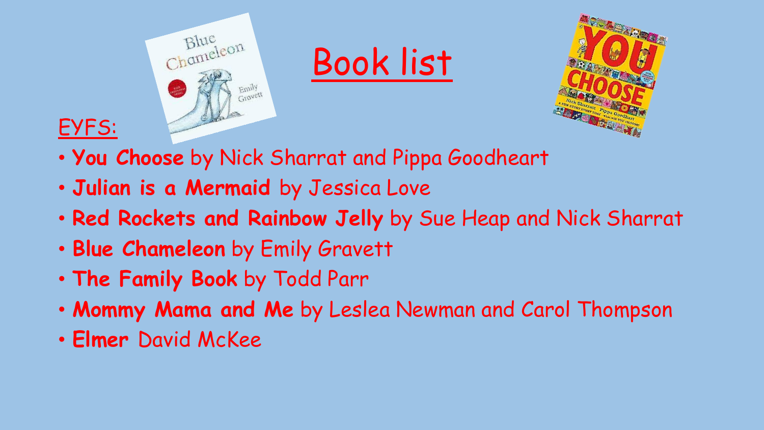





- **You Choose** by Nick Sharrat and Pippa Goodheart
- **Julian is a Mermaid** by Jessica Love
- **Red Rockets and Rainbow Jelly** by Sue Heap and Nick Sharrat
- **Blue Chameleon** by Emily Gravett
- **The Family Book** by Todd Parr
- **Mommy Mama and Me** by Leslea Newman and Carol Thompson
- **Elmer** David McKee

EYFS: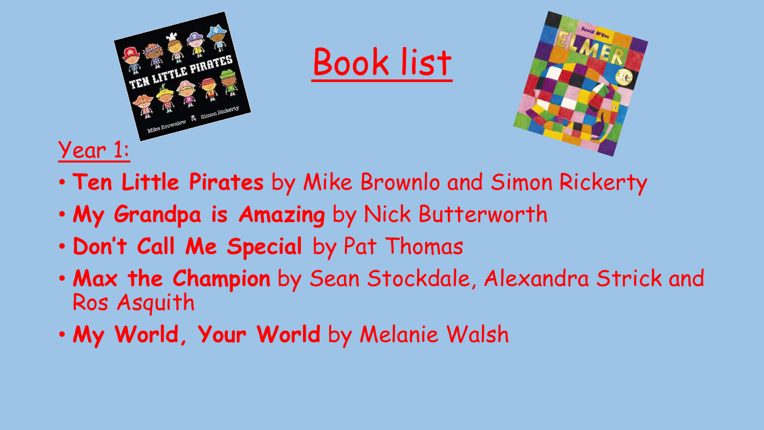

- **Ten Little Pirates** by Mike Brownlo and Simon Rickerty
- **My Grandpa is Amazing** by Nick Butterworth
- **Don't Call Me Special** by Pat Thomas
- **Max the Champion** by Sean Stockdale, Alexandra Strick and Ros Asquith
- **My World, Your World** by Melanie Walsh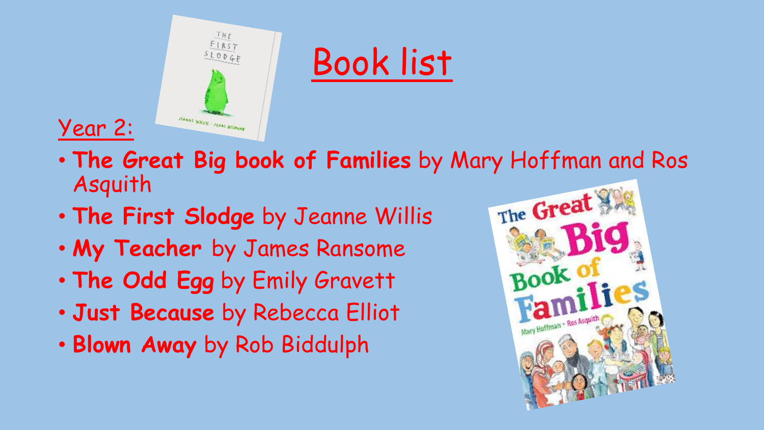



• **The Great Big book of Families** by Mary Hoffman and Ros Asquith

- **The First Slodge** by Jeanne Willis
- **My Teacher** by James Ransome
- **The Odd Egg** by Emily Gravett
- **Just Because** by Rebecca Elliot
- **Blown Away** by Rob Biddulph

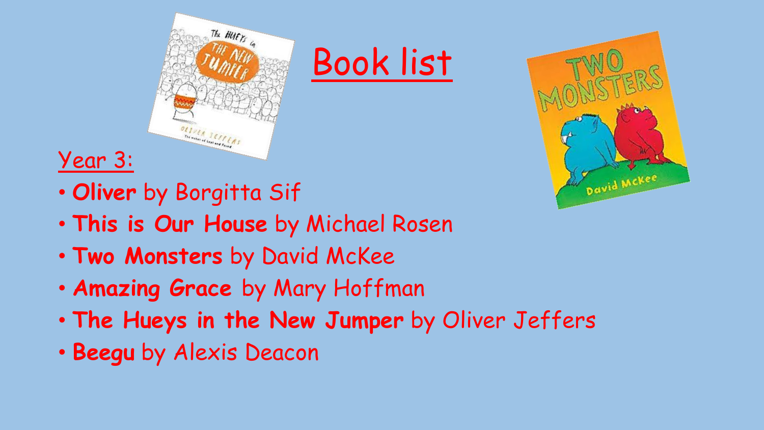



### Year 3:

- **Oliver** by Borgitta Sif
- **This is Our House** by Michael Rosen
- **Two Monsters** by David McKee
- **Amazing Grace** by Mary Hoffman
- **The Hueys in the New Jumper** by Oliver Jeffers
- **Beegu** by Alexis Deacon

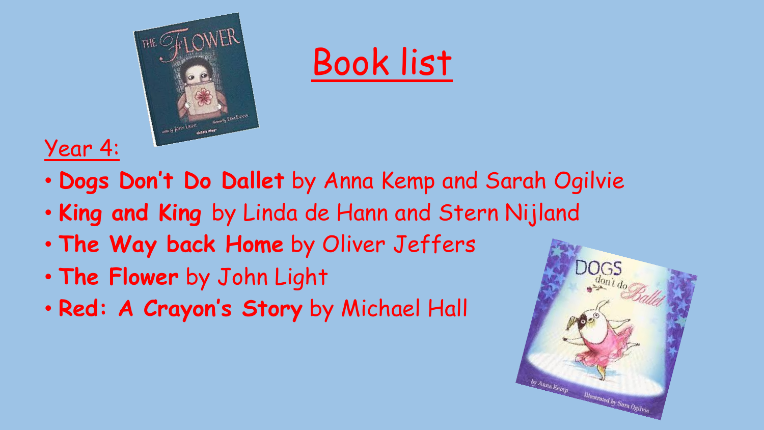



#### Year 4:

- **Dogs Don't Do Dallet** by Anna Kemp and Sarah Ogilvie
- **King and King** by Linda de Hann and Stern Nijland
- **The Way back Home** by Oliver Jeffers
- **The Flower** by John Light
- **Red: A Crayon's Story** by Michael Hall

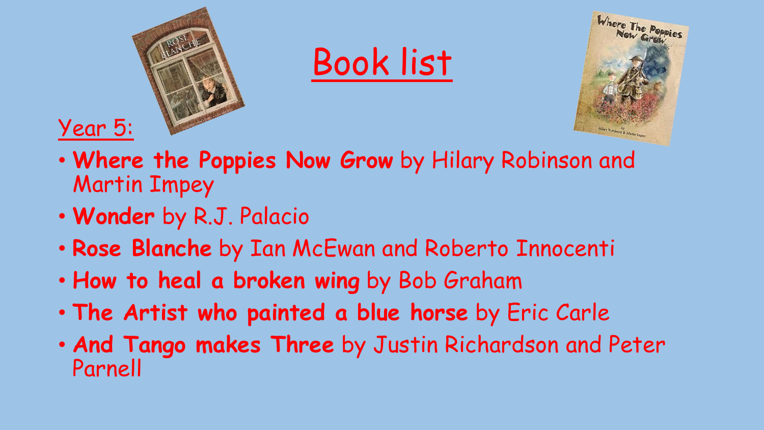

- **Where the Poppies Now Grow** by Hilary Robinson and Martin Impey
- **Wonder** by R.J. Palacio
- **Rose Blanche** by Ian McEwan and Roberto Innocenti
- **How to heal a broken wing** by Bob Graham
- **The Artist who painted a blue horse** by Eric Carle
- **And Tango makes Three** by Justin Richardson and Peter Parnell